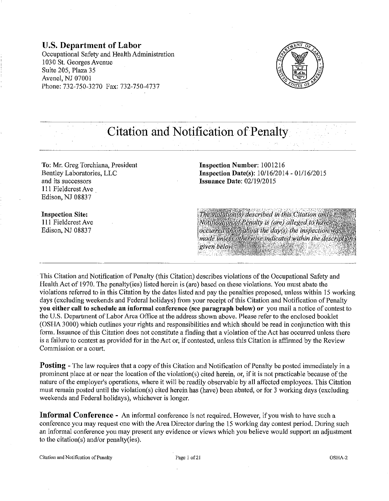# U.S. Department of Labor

Occupational Safety and Health Administration 1030 St. Georges Avenue Suite 205, Plaza 35 Avenel, NJ 07001 Phone: 732-750-3270 Fax: 732-750-4737



# Citation and Notification of Penalty

To: Mr. Greg Torchiana, President Bentley Laboratories, LLC and its successors 111 Fieldcrest Ave . Edison, NJ 08837

Inspection Number: 1001216 Inspection Date(s): 10/16/2014-01/16/2015 Issuance Date: 02/19/2015

#### Inspection Site: Ill Fieldcrest Ave Edison, NJ 08837

The violation(s) described in this Citation and Notification of Penalty is (are) alleged to have occurred on or about the day(s) the inspection was made unless otherwise indicated within the description given below.

This Citation and Notification of Penalty (this Citation) describes violations of the Occupational Safety and Health Act of 1970. The penalty(ies) listed herein is (are) based on these violations. You must abate the violations referred to in this Citation by the dates listed and pay the penalties proposed, unless within 15 working days (excluding weekends and Federal holidays) from your receipt of this Citation and Notification of Penalty you either call to schedule au informal conference (see paragraph below) or you mail a notice of contest to the U.S. Department of Labor Area Office at the address shown above. Please refer to the enclosed booklet (OSHA 3000) which outlines your rights and responsibilities and which should be read in conjunction with this form. Issuance of this Citation does not constitute a finding that a violation of the Act has occurred unless there is a failure to contest as provided for in the Act or, if contested, unless this Citation is affirmed by the Review Commission or a court.

Posting - The law requires that a copy of this Citation and Notification of Penalty be posted immediately in a prominent place at or near tbe location of the violation(s) cited herein, or, if it is not practicable because of the nature of the employer's operations, where it will be readily observable by all affected employees. This Citation must remain posted until the violation(s) cited herein has (have) been abated, or for 3 working days (excluding weekends and Federal holidays), whichever is longer.

Informal Conference - An informal conference is not required. However, if you wish to have such a conference you may request one with the Area Director during the 15 working day contest period. During such an informal conference you may present any evidence or views which you believe would support an adjustment to the citation(s) and/or penalty(ies).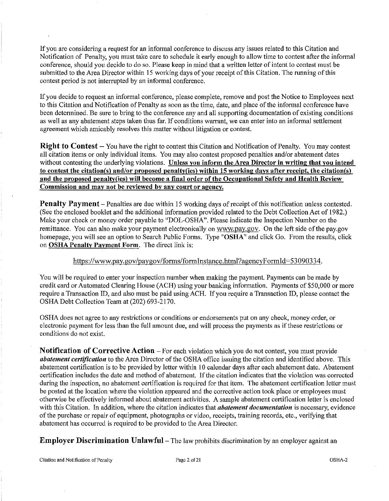If you are considering a request for an informal conference to discuss any issues related to this Citation and Notification of Penalty, you must take care to schedule it early enough to allow time to contest after the informal conference, should you decide to do so. Please keep in mind that a written letter of intent to contest must be submitted to the Area Director within 15 working days of your receipt of this Citation. The running of this contest period is not interrupted by an informal conference.

If you decide to request an informal conference, please complete, remove and post the Notice to Employees next to this Citation and Notification of Penalty as soon as the time, date, and place of the informal conference have been determined. Be sure to bring to the conference any and all supporting documentation of existing conditions as well as any abatement steps taken thus far. If conditions warrant, we can enter into an informal settlement agreement which amicably resolves this matter without litigation or contest.

Right to Contest- You have the right to contest this Citation and Notification of Penalty. You may contest all citation items or only individual items. You may also contest proposed penalties and/or abatement dates without contesting the underlying violations. Unless you inform the Area Director in writing that you intend to contest the citation(s) and/or proposed penalty(ies) within 15 worldng days after receipt, the citation(s) and the proposed penalty(ies) will become a final order of the Occupational Safety and Health Review Commission and may not be reviewed by any court or agency.

Penalty Payment - Penalties are due within 15 working days of receipt of this notification unless contested. (See the enclosed booklet and the additional information provided related to the Debt Collection Act of 1982.) Make your check or money order payable to "DOL-OSHA". Please indicate the Inspection Number on the remittance. You can also make your payment electronically on www.pay.gov. On the left side of the pay.gov homepage, you will see an option to Search Public Forms. Type "OSHA" and click Go. From the results, click on **OSHA Penalty Payment Form**. The direct link is:

# https://www.pay.gov/paygov/forms/formlnstance.html?agencyFormld=53090334.

You will be required to enter your inspection number when making the payment. Payments can be made by credit card or Automated Clearing House (ACH) using your banking information. Payments of \$50,000 or more require a Transaction ID, and also must be paid using ACH. If you require a Transaction ID, please contact the OSHA Debt Collection Team at (202) 693-2170.

OSHA does not agree to any restrictions or conditions or endorsements put on any check, money order, or electronic payment for less than the full amount due, and will process the payments as if these restrictions or conditions do not exist.

Notification of Corrective Action – For each violation which you do not contest, you must provide *abatement certification* to the Area Director of the OSHA office issuing the citation and identified above. This abatement certification is to be provided by letter within 10 calendar days after each abatement date. Abatement certification includes the date and method of abatement. If the citation indicates tbat the violation was corrected during the inspection, no abatement certification is required for that item. The abatement certification letter must be posted at the location where the violation appeared and the corrective action took place or employees must otherwise be effectively informed about abatement activities. A smnple abatement certification letter is enclosed with this Citation. In addition, where the citation indicates that *abatement documentation* is necessary, evidence of the purchase or repair of equipment, photographs or video, receipts, training records, etc., verifying that abatement has occurred is required to be provided to the Area Director.

Employer Discrimination Unlawful- The law prohibits discrimination by an employer against an

Citation and Notification of Penalty Page 2 of 21 OSHA-2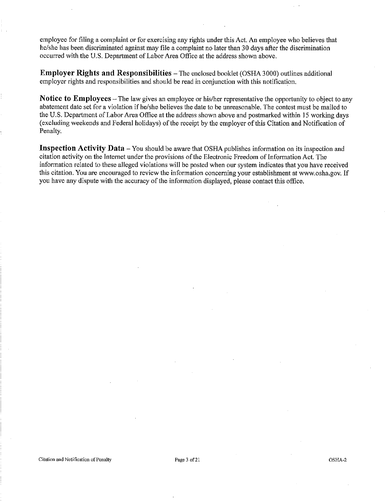employee for filing a complaint or for exercising any rights under this Act. An employee who believes that he/she has been discriminated against may file a complaint no later than 30 days after the discrimination occurred with the U.S. Department of Labor Area Office at the address shown above.

**Employer Rights and Responsibilities-** The enclosed booklet (OSHA 3000) outlines additional employer rights and responsibilities and should be read in conjunction with this notification.

**Notice to Employees-** The law gives an employee or his/her representative the opportunity to object to any abatement date set for a violation if he/she believes the date to be unreasonable. The contest must be mailed to the U.S. Department of Labor Area Office at the address shown above and postmarked within 15 working days (excluding weekends and Federal holidays) of the receipt by the employer of this Citation and Notification of Penalty.

**Inspection Activity Data** – You should be aware that OSHA publishes information on its inspection and citation activity on the Intemet under the provisions of the Electronic Freedom of Information Act. The information related to these alleged violations will be posted when our system indicates that you have received this citation. You are encouraged to review the information concerning your establishment at www.osha.gov. If you have any dispute with the accuracy of the information displayed, please contact this office.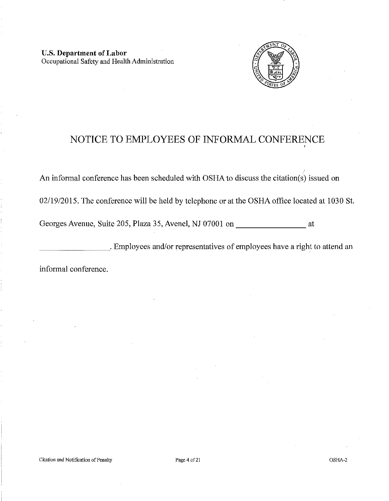U.S. Department of Labor Occupational Safety and Health Administration



# NOTICE TO EMPLOYEES OF INFORMAL CONFERENCE

An informal conference has been scheduled with OSHA to discuss the citation(s) issued on

02/19/2015. The conference will be held by telephone or at the OSHA office located at 1030 St.

Georges Avenue, Suite 205, Plaza 35, Avenel, NJ 07001 on at

\_\_\_\_\_\_\_\_ .Employees and/or representatives of employees have a right to attend an

informal conference.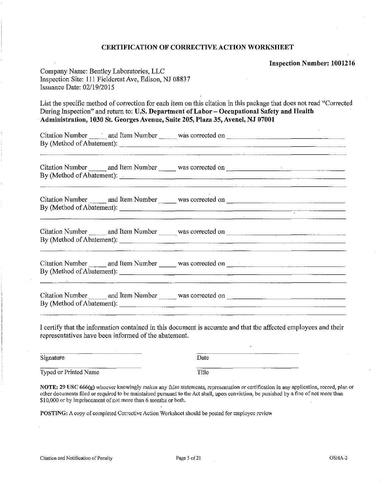#### CERTIFICATION OF CORRECTIVE ACTION WORKSHEET

Inspection Number: 1001216

| Company Name: Bentley Laboratories, LLC               |
|-------------------------------------------------------|
| Inspection Site: 111 Fieldcrest Ave, Edison, NJ 08837 |
| Issuance Date: 02/19/2015                             |

List the specific method of correction for each item on this citation in this package that does not read "Corrected During Inspection" and return to: U.S. Department of Labor - Occupational Safety and Health Administration, 1030 St. Georges Avenue, Suite 205, Plaza 35, Avenel, NJ 07001

Citation Number and Item Number was corrected on~~~~~~~~~~~~~~~ By (Method of Abatement):--------------------------

Citation Number and Item Number was corrected on-By (Method of Abatement):  $\frac{1}{2}$ 

Citation Number and Item Number was corrected on-By (Method of Abatement):---------------------:-------

| Citation Number           | and Item Number | was corrected on |
|---------------------------|-----------------|------------------|
| By (Method of Abatement): |                 |                  |
|                           |                 |                  |

Citation Number and Item Number was corrected on~-------~------ By (Method of Abatement):--------------------------

Citation Number and Item Number was corrected on <u>conserverse on</u> and Item Number was corrected on <u>conserverse on</u>

I certifY that the information contained in this document is accurate and that the affected employees and their representatives have been informed of the abatement.

Signature Date Typed or Printed Name Title

NOTE: 29 USC 666(g) whoever lmowingly makes any false statements, representation or certification in any application, record, plan or other documents filed or required to be maintained pursuant to the Act shall, upon conviction, be punished by a fine of not more than \$10,000 or by imprisonment of not more than 6 months or both.

POSTING: A copy of completed Corrective Action Worksheet should be posted for employee review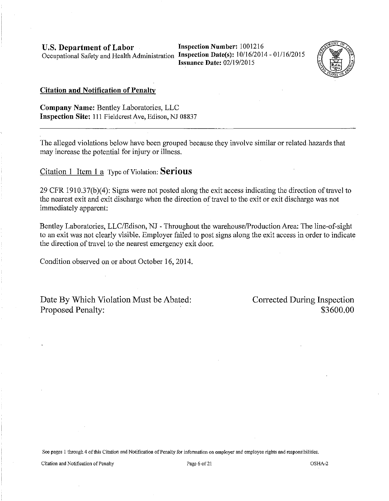**U.S. Department of Labor** Inspection Number: 1001216 Occupational Safety and Health Administration **Inspection Date(s):** 1 0/16/2014 - 01/16/2015

**Issuance Date:** 02/19/2015



#### **Citation and Notification of Penalty**

**Company Name:** Bentley Laboratories, LLC **Inspection Site: 111 Fieldcrest Ave, Edison, NJ 08837** 

The alleged violations below have been grouped because they involve similar or related hazards that may increase the potential for injury or illness.

Citation I Item 1 a Type of Violation: **Serious** 

29 CFR 1910.37(b)(4): Signs were not posted along the exit access indicating the direction of travel to the nearest exit and exit discharge when the direction of travel to the exit or exit discharge was not immediately apparent:

Bentley Laboratories, LLC/Edison, NJ - Throughout the warehouse/Production Area: The line-of-sight to an exit was not clearly visible. Employer failed to post signs along the exit access in order to indicate the direction of travel to the nearest emergency exit door.

Condition observed on or about October 16, 2014.

Date By Which Violation Must be Abated: Proposed Penalty:

Corrected During Inspection \$3600.00

**See pages 1 through 4 of this Citation and Notification of Penalty for information on employer and employee rights and responsibilities.**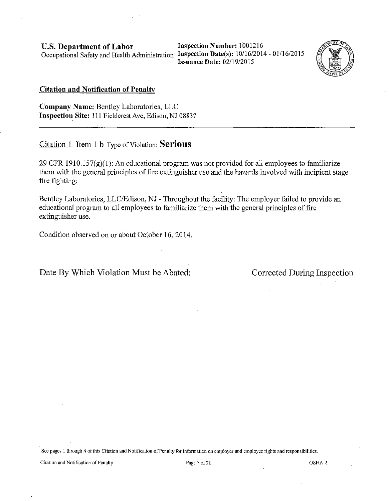**Inspection Number:** 1001216 **Issuance Date:** 02/19/2015



## **Citation and Notification of Penalty**

**Company Name:** Bentley Laboratories, LLC **Inspection Site:** Ill Fieldcrest Ave, Edison, NJ 08837

# Citation 1 Item 1 b Type of Violation: **Serious**

29 CFR 1910.157 $(g)(1)$ : An educational program was not provided for all employees to familiarize them with the general principles of fire extinguisher use and the hazards involved with incipient stage fire fighting:

Bentley Laboratories, LLC/Edison, NJ - Throughout the facility: The employer failed to provide an educational program to all employees to familiarize them with the general principles of fire extinguisher use.

Condition observed on or about October 16, 2014.

# Date By Which Violation Must be Abated: Corrected During Inspection

**Sec pages 1 through 4 of this Citation and Notification of Penalty for information on employer and employee rights and responsibilities,** 

**Citation and Notification of Penalty Page7of2l** OSHA-2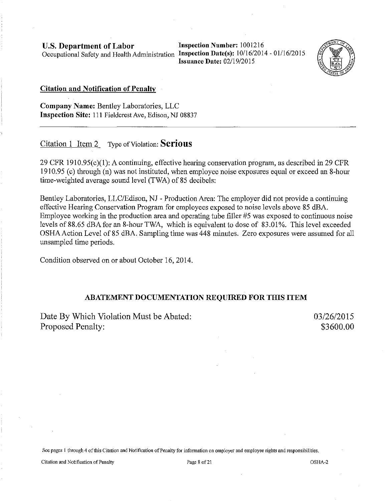**U.S. Department of Labor** 

Occupational Safety and Health Administration Inspection Date(s): 10/16/2014 - 01/16/2015 **Inspection Number:** 1001216 **Issuance Date: 02/19/2015** 



#### **Citation and Notification of Penalty**

**Company Name:** Bentley Laboratories, LLC **Inspection Site:** Ill Fieldcrest Ave, Edison, NJ 08837

# Citation 1 Item 2 Type of Violation: **Serious**

29 CFR 1910.95(c)(1): A continuing, effective hearing conservation program, as described in 29 CFR 1910.95 (c) through (n) was not instituted, when employee noise exposures equal or exceed an 8-hour time-weighted average sound level (TWA) of 85 decibels:

Bentley Laboratories, LLC/Edison, NJ - Production Area: The employer did not provide a continuing effective Hearing Conservation Program for employees exposed to noise levels above 85 dBA. Employee working in the production area and operating tube filler #5 was exposed to continuous noise levels of 88.65 dBA for an 8-hour TWA, which is equivalent to dose of 83.01%. This level exceeded OSHA Action Level of 85 dBA. Sampling time was 448 minutes. Zero exposures were assumed for all unsampled time periods.

Condition observed on or about October 16,2014.

# **ABATEMENT DOCUMENTATION REQUIRED FOR THIS ITEM**

Date By Which Violation Must be Abated: Proposed Penalty:

03/26/2015 \$3600.00

**See pages 1 through 4 of this Citation and Notification of Penalty for information on employer and employee rights and responsibilities.** 

Citation and Notification of Penalty **Page 8** of 21 **Page 8 of 21 OSIIA-2 OSIIA-2**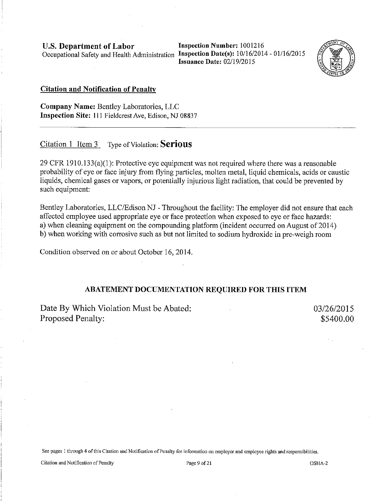**Inspection Nnmber:** 1001216 **Issuance Date:** 02/19/2015



#### **Citation and Notification of Penalty**

**Company Name:** Bentley Laboratories, LLC **Inspection Site:** 111 Fie1dcrest Ave, Edison, NJ 08837

# Citation **1** Item 3 Type of Violation: **Serious**

29 CFR 1910.133(a)(1): Protective eye equipment was not required where there was a reasonable probability of eye or face injury from flying particles, molten metal, liquid chemicals, acids or caustic liquids, chemical gases or vapors, or potentially injurious light radiation, that could be prevented by such equipment:

Bentley Laboratories, LLC/Edison NJ - Throughout the facility: The employer did not ensure that each affected employee used appropriate eye or face protection when exposed to eye or face hazards: a) when cleaning equipment on the compounding platform (incident occurred on August of 2014) b) when working with corrosive such as but not limited to sodium hydroxide in pre-weigh room

Condition observed on or about October 16, 2014.

#### **ABATEMENT DOCUMENTATION REQUIRED FOR THIS ITEM**

Date By Which Violation Must be Abated: Proposed Penalty:

03/26/2015 \$5400.00

**See pages 1 through 4 of this Citation and Notification of Penalty for information on employer and employee rights and responsibilities.** 

Citation and Notification of Penalty **Page 9** of 21 **CISHA-2 OSHA-2**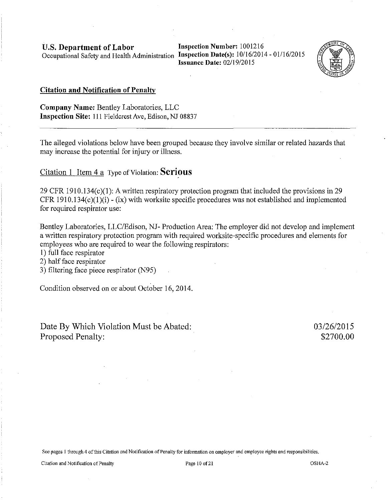**Inspection Number:** 1001216 **Issuance Date:** 02/19/2015



#### **Citation and Notification of Penalty**

**Company Name:** Bentley Laboratories, LLC **Inspection Site:** 111 Fieldcrest Ave, Edison, NJ 08837

The alleged violations below have been grouped because they involve similar or related hazards that may increase the potential for injury or illness.

# **Citation 1 Item 4 a Type of Violation: Serious**

29 CFR 1910.134(c)(l): A written respiratory protection program that included the provisions in 29 CFR 1910.134 $(c)(1)(i)$  - (ix) with worksite specific procedures was not established and implemented for required respirator use:

Bentley Laboratories, LLC/Edison, NJ- Production Area: The employer did not develop and implement a written respiratory protection program with required worksite-specific procedures and elements for employees who are required to wear the following respirators:

I) full face respirator

2) half face respirator

3) filtering face piece respirator (N95)

Condition observed on or about October 16,2014.

Date By Which Violation Must be Abated: Proposed Penalty:

03/26/2015 \$2700.00

**See pages I through 4 of this Citation and Notification of Penalty for information on employer and employee rights and responsibilities.**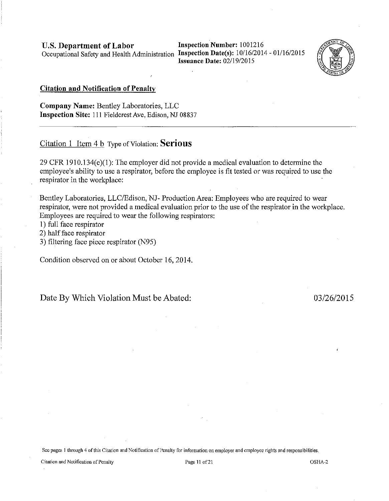U.S. Department of Labor

Occupational Safety and Health Administration Inspection Date(s): 10/16/2014 - 01/16/2015 Inspection Number: 1001216 Issuance Date: 02/19/2015



#### Citation and Notification of Penalty

Company Name: Bentley Laboratories, LLC Inspection Site: Ill Fieldcrest Ave, Edison, NJ 08837

Citation 1 Item 4 b Type of Violation: Serious

29 CFR 1910.134(e)(l): The employer did not provide a medical evaluation to determine the employee's ability to use a respirator, before the employee is fit tested or was required to use the respirator in the workplace:

Bentley Laboratories, LLC/Edison, NJ- Production Area: Employees who are required to wear respirator, were not provided a medical evaluation prior to the use of the respirator in the workplace. Employees are required to wear the following respirators:

1) full face respirator

2) half face respirator

3) filtering face piece respirator (N95)

Condition observed on or about October 16,2014.

Date By Which Violation Must be Abated: 03/26/2015

Sec pages 1 through 4 of this Citation and Notification of Penalty for information on employer and employee rights and responsibilities.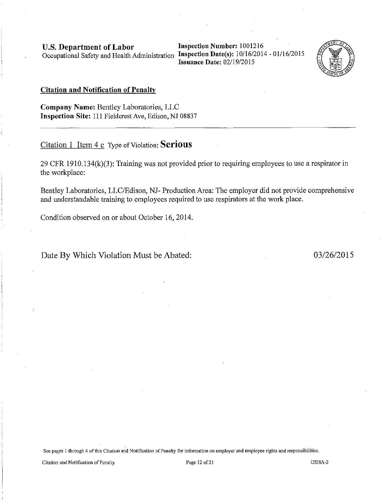Inspection Number: 1001216 Issuance Date: 02/19/2015



## Citation and Notification of Penalty

Company Name: Bentley Laboratories, LLC Inspection Site: 111 Fieldcrest Ave, Edison, NJ 08837

# Citation 1 Item 4 c Type of Violation: Serious

29 CFR 1910.134(k)(3): Training was not provided prior to requiring employees to use a respirator in the workplace:

Bentley Laboratories, LLC/Edison, NJ- Production Area: The employer did not provide comprehensive and understandable training to employees required to use respirators at the work place.

Condition observed on or about October 16,2014.

Date By Which Violation Must be Abated: 03/26/2015

See pages 1 through 4 of this Citation and Notification of Penalty for information on employer and employee rights and responsibilities.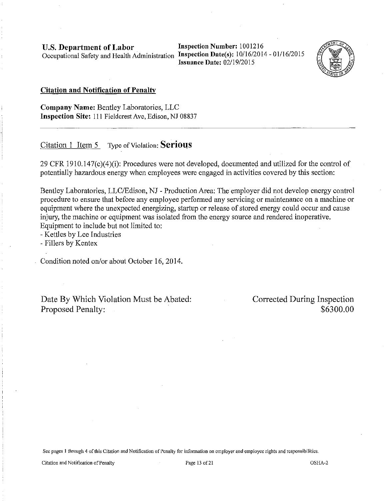**Inspection Number:** 1001216 **Issuance Date:** 02/19/2015



#### **Citation and Notification of Penalty**

**Company Name:** Bentley Laboratories, LLC **Inspection Site:** Ill Fieldcrest Ave, Edison, NJ 08837

# Citation 1 Item 5 Type of Violation: **Serious**

29 CFR 1910.147(c)(4)(i): Procedures were not developed, documented and utilized for the control of potentially hazardous energy when employees were engaged in activities covered by this section:

Bentley Laboratories, LLC/Edison, NJ - Production Area: The employer did not develop energy control procedure to ensure that before any employee performed any servicing or maintenance on a machine or equipment where the unexpected energizing, startup or release of stored energy could occur and cause injury, the machine or equipment was isolated from the energy source and rendered inoperative. Equipment to include but not limited to:

-Kettles by Lee Industries

- Fillers by Kentex

Condition noted on/or about October 16, 2014.

Date By Which Violation Must be Abated: Proposed Penalty:

Corrected During Inspection \$6300.00

**See pages 1 through 4 of this Citation and Notification of Penally for information on employer and employee rights and responsibilities.** 

**Citation and Nolification of Penalty Page 13 of21** OSHA-2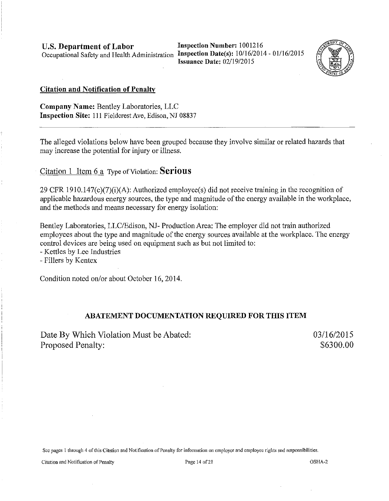Inspection Number: 1001216 Issuance Date: 02/19/2015



## Citation and Notification of Penalty

Company Name: Bentley Laboratories, LLC Inspection Site: 111 Fieldcrest Ave, Edison, NJ 08837

The alleged violations below have been grouped because they involve similar or related hazards that may increase the potential for injury or illness.

Citation 1 Item 6 a Type of Violation: **Serious** 

29 CFR 1910.147 $(c)(7)(i)(A)$ : Authorized employee(s) did not receive training in the recognition of applicable hazardous energy sources, the type and magnitude of the energy available in the workplace, and the methods and means necessary for energy isolation:

Bentley Laboratories, LLC/Edison, NJ- Production Area: The employer did not train authorized employees about the type and magnitude of the energy sources available at the workplace. The energy control devices are being used on equipment such as but not limited to:

- Kettles by Lee Industries

- Fillers by Kentex

Condition noted on/or about October 16, 2014.

# ABATEMENT DOCUMENTATION REQUIRED FOR THIS ITEM

Date By Which Violation Must be Abated: Proposed Penalty:

03/16/2015 \$6300.00

Sec pages 1 through 4 of this Citation and Notification of Penally for information on employer and employee rights and responsibilities.

Citation and Notification of Penalty Page 14 of 21 OSHA-2 OSHA-2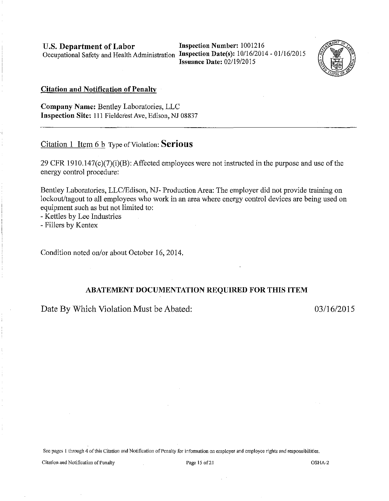U.S. Department of Labor Inspection Number: 1001216 Occupational Safety and Health Administration Inspection Date(s): 10/16/2014 - 01/16/2015

Issuance Date: 02/19/2015



#### Citation and Notification of Penalty

Company Name: Bentley Laboratories, LLC Inspection Site: Ill Fieldcrest Ave, Edison, NJ 08837

Citation 1 Item 6 b Type of Violation: Serious

29 CFR 1910.147(c)(7)(i)(B): Affected employees were not instructed in the purpose and use of the energy control procedure:

Bentley Laboratories, LLC/Edison, NJ- Production Area: The employer did not provide training on lockout/tagout to all employees who work in an area where energy control devices are being used on equipment such as but not limited to:

- Kettles by Lee Industries

- Fillers by Kentex

Condition noted on/or about October 16,2014.

#### ABATEMENT DOCUMENTATION REQUIRED FOR THIS ITEM

Date By Which Violation Must be Abated: 03/16/2015

See pages 1 through 4 of this Citation and Notification of Penalty for information on employer and employee rights and responsibilities,

Citation and Notification of Penalty **Page 15** of 21 OSHA-2 OSHA-2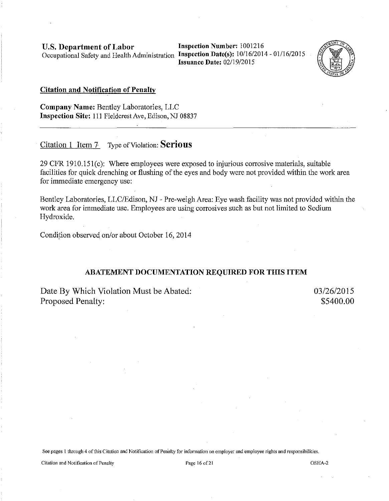**Inspection Number:** 1001216 **Issuance Date: 02/19/2015** 



#### **Citation and Notification of Penalty**

**Company Name:** Bentley Laboratories, LLC **Inspection Site:** Ill Fieldcrest Ave, Edison, NJ 08837

# Citation 1 Item 7- Type of Violation: **Serious**

29 CFR 1910.15l(c): Where employees were exposed to injurious corrosive materials, suitable facilities for quick drenching or flushing of the eyes and body were not provided within the work area for immediate emergency use:

Bentley Laboratories, LLC/Edison, NJ - Pre-weigh Area: Eye wash facility was not provided within the work area for immediate use. Employees are using corrosives such as but not limited to Sodium Hydroxide.

Condition observed on/or about October 16, 2014

#### **ABATEMENT DOCUMENTATION REQUIRED FOR THIS ITEM**

Date By Which Violation Must be Abated: Proposed Penalty:

03/26/2015 \$5400.00

See pages 1 through 4 of this Citation and Notification of Penalty for information on employer and employee rights and responsibilities.

Citation and Notification of Penalty **Page 16** of 21 **Page 16** of 21 **OSHA-2 OSHA-2**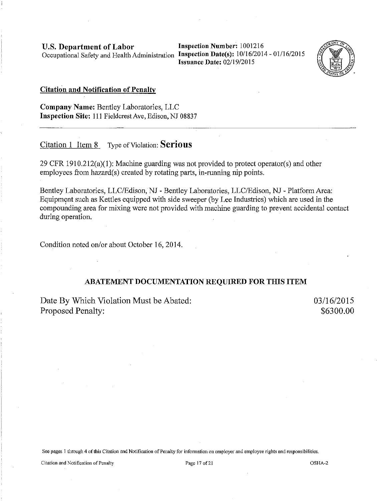**Inspection Number:** 1001216 **Issuance Date:** 02/19/2015



#### **Citation and Notification of Penalty**

**Company Name:** Bentley Laboratories, LLC **Inspection Site:** 111 Fieldcrest Ave, Edison, NJ 08837

# Citation 1 Item 8 Type of Violation: **Serious**

29 CPR 1910.212(a)(l): Machine guarding was not provided to protect operator(s) and other employees from hazard(s) created by rotating parts, in-running nip points.

Bentley Laboratories, LLC/Edison, NJ - Bentley Laboratories, LLC/Edison, NJ - Platform Area: Equipment such as Kettles equipped with side sweeper (by Lee Industries) which are used in the compounding area for mixing were not provided with machine guarding to prevent accidental contact during operation.

Condition noted on/or about October 16, 2014.

#### **ABATEMENT DOCUMENTATION REQUIRED FOR THIS ITEM**

Date By Which Violation Must be Abated: Proposed Penalty:

03/16/2015 \$6300.00

**See pages l through 4 of this Citation and Notification of Penalty for information on employer and employee rights and responsibilities.** 

Citation and Notification of Penalty **Page 17** of 21 **Page 17 of 21 OSHA-2 OSHA-2**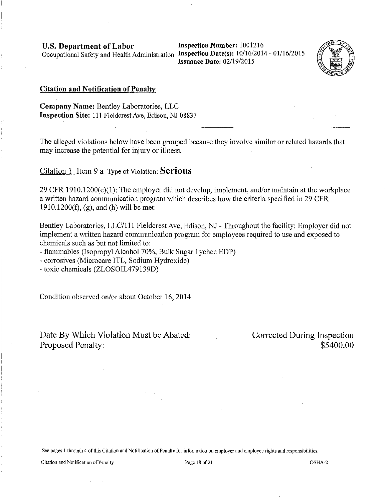**Inspection Number:** 1001216 **Issuance Date: 02/19/2015** 



#### **Citation and Notification of Penalty**

**Company Name:** Bentley Laboratories, LLC **Inspection Site: 111 Fieldcrest Ave, Edison, NJ 08837** 

The alleged violations below have been grouped because they involve similar or related hazards that may increase the potential for injury or illness.

Citation 1 Item 9 a Type of Violation: **Serious** 

 $29$  CFR 1910.1200(e)(1): The employer did not develop, implement, and/or maintain at the workplace a written hazard communication program which describes how the criteria specified in 29 CFR 1910.1200(f), (g), and (h) will be met:

Bentley Laboratories, LLC/111 Fieldcrest Ave, Edison, NJ - Throughout the facility: Employer did not implement a written hazard communication program for employees required to use and exposed to chemicals such as but not limited to:

- flammables (Isopropyl Alcohol 70%, Bulk Sugar Lychee EDP)

- corrosives (Microcare ITL, Sodium Hydroxide)

-toxic chemicals (ZLOSOIL479139D)

Condition observed on/or about October 16,2014

Date By Which Violation Must be Abated: Proposed Penalty:

Corrected During Inspection \$5400.00

**See pages 1 through 4 ofthis Citation and Notification of Penalty for information on employer and employee rights and responsibilities.** 

**Citation and Notification of Penalty Page 18 of21** OSHA-2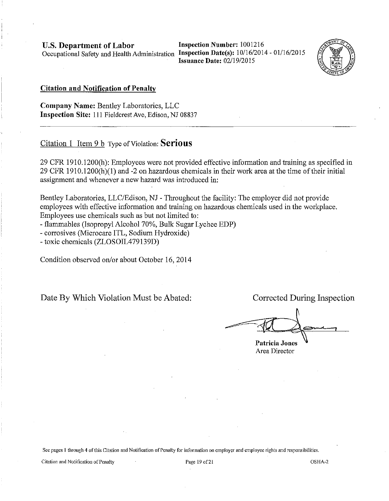Inspection Number: 1001216 Issuance Date: 02/19/2015



#### Citation and Notification of Penalty

Company Name: Bentley Laboratories, LLC Inspection Site: Ill Fieldcrest Ave, Edison, NJ 08837

# Citation 1 Item 9 b Type of Violation: Serious

29 CFR 1910.1200(h): Employees were not provided effective information and training as specified in 29 CFR 1910.1200 $(h)(1)$  and -2 on hazardous chemicals in their work area at the time of their initial assignment and whenever a new hazard was introduced in:

Bentley Laboratories, LLC/Edison, NJ - Throughout the facility: The employer did not provide employees with effective information and training on hazardous chemicals used in the workplace. Employees use chemicals such as but not limited to:

- flammables (Isopropyl Alcohol 70%, Bulk Sugar Lychee EDP)
- corrosives (Microcare ITL, Sodium Hydroxide)

-toxic chemicals (ZLOSOIL479139D)

Condition observed on/or about October 16, 2014

Date By Which Violation Must be Abated: Corrected During Inspection

Patricia Jones

Area Director

See pages 1 through 4 ofthis Citation and Notification of Penalty for information on employer and employee rights and responsibilities.

Citation and Notification of Penalty Page 19 of21 OSHA-2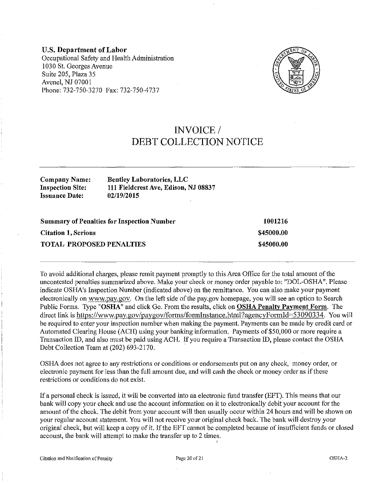U.S. Department of Labor Occupational Safety and Health Administration 1030 St. Georges Avenue Suite 205, Plaza 35 Avenel, NJ 07001 Phone: 732-750-3270 Fax: 732-750-4737



# INVOICE/ DEBT COLLECTION NOTICE

Company Name: Inspection Site: Issuance Date:

Bentley Laboratories, LLC 111 Fieldcrest Ave, Edison, NJ 08837 02/19/2015

| <b>Summary of Penalties for Inspection Number</b> | 1001216    |
|---------------------------------------------------|------------|
| <b>Citation 1, Serious</b>                        | \$45000.00 |
| <b>TOTAL PROPOSED PENALTIES</b>                   | \$45000.00 |

To avoid additional charges, please remit payment promptly to this Area Office for the total amount of the uncontested penalties summarized above. Make your check or money order payable to: "DOL-OSHA". Please indicate OSHA's Inspection Number (indicated above) on the remittance. You can also make your payment electronically on www.pay.gov. On the left side of the pay.gov homepage, you will see an option to Search Public Forms. Type "OSHA" and click Go. From the results, click on OSHA Penalty Payment Form. The direct link is https://www.pay.gov/paygov/forms/formInstance.html?agencyFormId=53090334. You will be required to enter your inspection number when making the payment. Payments can be made by credit card or Automated Clearing House (ACH) using your banking information. Payments of \$50,000 or more require a Transaction ID, and also must be paid using ACH. If you require a Transaction ID, please contact the OSHA Debt Collection Team at (202) 693-2170.

OSHA does not agree to any restrictions or conditions or endorsements put on any check, money order, or electronic payment for less than the full amount due, and will cash the check or money order as if these restrictions or conditions do not exist.

If a personal check is issued, it will be converted into an electronic fund transfer (EFT). This means that our bank will copy your check and use the account information on it to electronically debit your account for the amount of the check. The debit from your account will then usually occur within 24 hours and will be shown on your regular account statement. You will not receive your original check back. The bank will destroy your original check, but will keep a copy of it. If the EFT cannot be completed because of insufficient funds or closed account, the bank will attempt to make the transfer up to 2 times.

I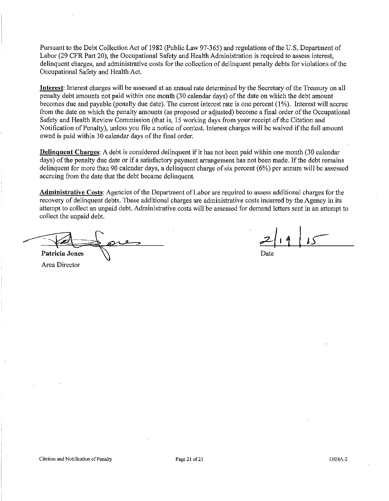Pursuant to the Debt Collection Act of 1982 (Public Law 97-365) and regulations of the U.S. Department of Labor (29 CFR Part 20), the Occupational Safety and Health Administration is required to assess interest, delinquent charges, and administrative costs for the collection of delinquent penalty debts for violations of the Occupational Safety and Health Act.

Interest: Interest charges will be assessed at an annual rate determined by the Secretary of the Treasury on all penalty debt amounts not paid within one month (30 calendar days) of the date on which the debt amount becomes due and payable (penalty due date). The current interest rate is one percent (I%). Interest will accrue from the date on which the penalty amounts (as proposed or adjusted) become a fmal order of the Occupational Safety and Health Review Commission (that is, 15 working days from your receipt of the Citation and Notification of Penalty), unless you file a notice of contest. Interest charges will be waived if the full amount owed is paid within 30 calendar days of the final order.

Delinquent Charges: A debt is considered delinquent if it has not been paid within one month (30 calendar days) of the penalty due date or if a satisfactory payment arrangement has not been made. If the debt remains delinquent for more than 90 calendar days, a delinquent charge of six percent ( 6%) per annum will be assessed accruing from the date that the debt became delinquent.

Administrative Costs: Agencies of the Department of Labor are required to assess additional charges for the recovery of delinquent debts. These additional charges are administrative costs incurred by the Agency in its attempt to collect an unpaid debt. Administrative costs will be assessed for demand letters sent in an attempt to days) of the penalty due date or if a satisfactory payment arrangement has not<br>delinquent for more than 90 calendar days, a delinquent charge of six percent a<br>accruing from the date that the debt became delinquent.<br>Adminis collect the unpaid debt.

Patricia Jones (Date Based)

Area Director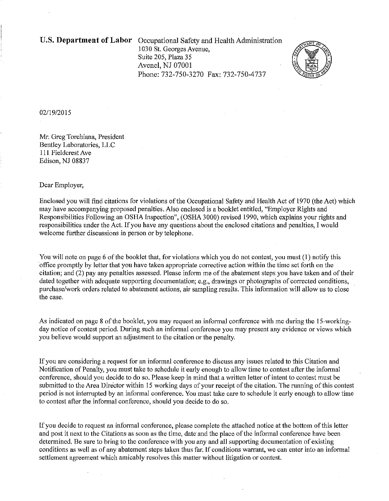U.S. **Department of Labor** Occupational Safety and Health Administration 1030 St. Georges Avenue. Suite 205, Plaza 35 Avenel, NJ 07001 Phone: 732-750-3270 Fax: 732-750-4737



#### 02/19/2015

Mr. Greg Torchiana, President Bentley Laboratories, LLC Ill Fieldcrest Ave Edison, NJ 08837

#### Dear Employer,

Enclosed you will find citations for violations of the Occupational Safety and Health Act of 1970 (the Act) which may have accompanying proposed penalties. Also enclosed is a booklet entitled, "Employer Rights and Responsibilities Following an OSHA Inspection", (OSHA 3000) revised 1990, which explains your rights and responsibilities under the Act. If you have any questions about the enclosed citations and penalties, I would welcome further discussions in person or by telephone.

You will note on page 6 of the booklet that, for violations which you do not contest, you must (1) notify this 'office promptly by letter that you have taken appropriate corrective action within the time set forth on the citation; and (2) pay any penalties assessed. Please inform me of the abatement steps you have taken and of their dated together with adequate supporting documentation; e.g., drawings or photographs of corrected conditions, purchase/work orders related to abatement actions, air sampling results. This information will allow us to close the case.

As indicated on page 8 of the booklet, you may request an informal conference with me during the 15-workingday notice of contest period. During such an informal conference you may present any evidence or views which you believe would support an adjustment to the citation or the penalty.

If you are considering a request for an informal conference to discuss any issues related to this Citation and Notification of Penalty, you must take to schedule it early enough to allow time to contest after the informal conference, should you decide to do so. Please keep in mind that a written letter of intent to contest must be submitted to the Area Director within 15 working days of your receipt of the citation. The running of this contest period is not interrupted by an informal conference. You must talce care to schedule it early enough to allow time to contest after the informal conference, should you decide to do so.

If you decide to request an informal conference, please complete the attached notice at the bottom of this letter and post it next to the Citations as soon as the time, date and the place of the informal conference have been determined. Be sure to bring to the conference with you any and all supporting documentation of existing conditions as well as of any abatement steps taken thus far. If conditions warrant, we can enter into an informal settlement agreement which amicably resolves tbis matter without litigation or contest.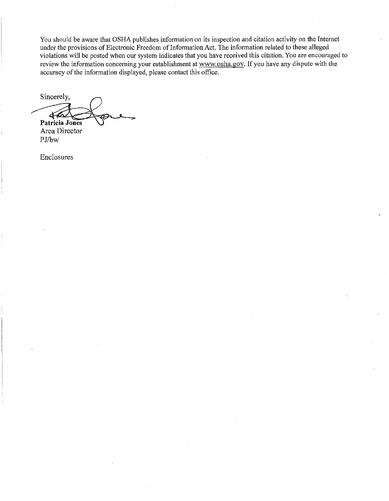You should be aware that OSHA publishes information on its inspection and citation activity on the Internet under the provisions of Electronic Freedom of Information Act. The information related to these alleged violations will be posted when our system indicates that you have received this citation. You are encouraged to review the information concerning your establishment at www.osha.gov. If you have any dispute with the accuracy of the information displayed, please contact this office.

Sincerely,  $46$ **Patricia Jones** 

Area Director PJ/bw

Enclosures